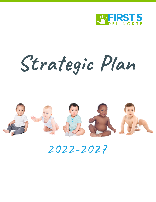

# Strategic Plan



# 2022-2027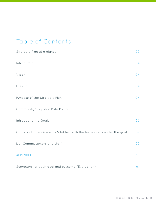## Table of Contents

| Strategic Plan at a glance                                             | 03 |
|------------------------------------------------------------------------|----|
| Introduction                                                           | 04 |
| Vision                                                                 | 04 |
| Mission                                                                | 04 |
| Purpose of the Strategic Plan                                          | 04 |
| Community Snapshot Data Points                                         | 05 |
| Introduction to Goals                                                  | 06 |
| Goals and Focus Areas as 6 tables, with the focus areas under the goal | 07 |
| List Commissioners and staff                                           | 35 |
| APPENDIX                                                               | 36 |
| Scorecard for each goal and outcome (Evaluation)                       | 37 |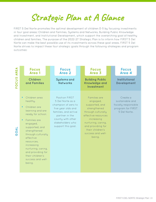# Strategic Plan at A Glance

FIRST 5 Del Norte promotes the optimal development of children 0-5 by focusing investments in four goal areas: Children and Families, Systems and Networks, Building Public Knowledge and Investment, and Institutional Development, which support the overarching goal of healthy children and families. The purpose of the 2022-27 Strategic Plan is to inform how FIRST 5 Del Norte can make the best possible use of its investments across these goal areas. FIRST 5 Del Norte strives to impact these four strategic goals through the following strategies and program outcomes:

| ⋖<br>யி<br>$\overline{\mathsf{A}}$ R           | <b>Focus</b><br>Area 1                                                                                                                                                                                                                                                                                        | <b>Focus</b><br>Area 2                                                                                                                                                                   | <b>Focus</b><br>Area 3                                                                                                                                                                                              | <b>Focus</b><br>Area 4                                                                   |
|------------------------------------------------|---------------------------------------------------------------------------------------------------------------------------------------------------------------------------------------------------------------------------------------------------------------------------------------------------------------|------------------------------------------------------------------------------------------------------------------------------------------------------------------------------------------|---------------------------------------------------------------------------------------------------------------------------------------------------------------------------------------------------------------------|------------------------------------------------------------------------------------------|
| $\boldsymbol{\omega}$<br>UU<br>$\bullet$<br>ũ. | <b>Children</b><br>and Families                                                                                                                                                                                                                                                                               | <b>Systems and</b><br><b>Networks</b>                                                                                                                                                    | <b>Building Public</b><br><b>Knowledge and</b><br>Investment                                                                                                                                                        | Institutional<br>Development                                                             |
| OAL<br>$\overline{O}$                          | Children area<br>healthy.<br>Children are<br>learning and are<br>ready for school.<br>Families are<br>engaged,<br>supported, and<br>strengthened<br>through culturally<br>effective<br>resources,<br>increasing<br>nurturing, caring,<br>and providing for<br>their children's<br>success and well-<br>being. | Position FIRST<br>5 Del Norte as a<br>champion of zero to<br>five year olds and<br>families, and active<br>partner in the<br>county with other<br>stakeholders who<br>support this goal. | Families are<br>engaged,<br>supported, and<br>strengthened<br>through culturally<br>effective resources<br>increasing<br>nurturing, caring,<br>and providing for<br>their children's<br>success and well-<br>being. | Create a<br>sustainable and<br>fiscally responsible<br>program for FIRST<br>5 Del Norte. |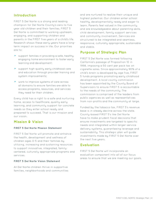#### **Introduction**

FIRST 5 Del Norte is a strong and leading champion for Del Norte County's zero to five year old children and their families. FIRST 5 Del Norte is committed to working upstream, engaging, and supporting children and parents in the FIRST five years of a child's life. Research shows these early years have a longterm impact on success in life. Our priorities are to:

- support families in providing a safe, healthy, engaging home environment to foster early learning and development;
- E support high-quality early childhood care and education through provider training and system improvements;
- E work to improve systems of care across all domains to ensure families are able to access programs, resources, and services they need for their children.

Every child has a right to a safe and nurturing home, access to healthcare, quality early learning, and community support for concrete needs so they enter school ready and prepared to succeed. That is our mission and our vision.

#### **Mission & Vision**

#### **FIRST 5 Del Norte Mission Statement**

FIRST 5 Del Norte will promote and enhance the health, development and wellness of children ages 0-5 and their families by utilizing, increasing and sustaining resources to support innovative, integrated, familycentered, culturally appropriate programs and services.

#### **FIRST 5 Del Norte Vision Statement**

All Del Norte children thrive in supportive families, neighborhoods and communities and are nurtured to realize their unique and highest potential. Our children enter school healthy, developmentally ready and eager to learn. Parents feel valued in the community, and are knowledgeable about parenting skills, child development, family support services and community involvement. Services are structured to be integrated and seamless, responsive, culturally appropriate, sustainable and stable.

#### **Purpose of Strategic Plan**

FIRST 5 Del Norte was formed following California's passage of Proposition 10 in 1998, imposing a 50 cent per pack tax on cigarette sales. Since approximately 90% of a child's brain is developed by age five, FIRST 5 funds programs promoting early childhood development. A local county commission has been appointed by the County Board of Supervisors to ensure FIRST 5 is accountable to the needs of the community. The commission is comprised of the leaders from public agencies as well as representatives from non-profits and the community at large.

Funded by the tobacco tax, FIRST 5's revenue base is in steady decline across the state. County-based FIRST 5's like Del Norte have to make prudent fiscal decisions that ensure investments are targeted to specific needs and integrated within larger-service delivery systems, guaranteeing leverage and sustainability. This strategic plan will guide investments made by FIRST 5 Del Norte over the next five years.

#### **Evaluation**

FIRST 5 Del Norte will incorporate an evaluation component into all of our focus areas to ensure that we are meeting our goals.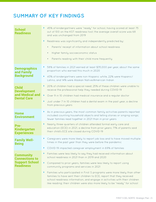## **SUMMARY OF KEY FINDINGS**

| <b>School</b><br><b>Readiness</b>                 | 45% of kindergartners were "ready" for school, having scored at least 75<br>out of 100 on the KST readiness tool; the average overall score was 68<br>and was unchanged from 2019<br>Readiness was significantly and independently predicted by:<br>Þ<br>Parents' receipt of information about school readiness<br>$\bullet$<br>Higher family socioeconomic status<br>$\bullet$ |
|---------------------------------------------------|---------------------------------------------------------------------------------------------------------------------------------------------------------------------------------------------------------------------------------------------------------------------------------------------------------------------------------------------------------------------------------|
|                                                   | Parents reading with their child more frequently<br>$\bullet$                                                                                                                                                                                                                                                                                                                   |
| <b>Demographics</b><br>and Family                 | 58% of families in 2021 earned at least \$35,000 per year, about the same<br>Þ<br>proportion who earned this much in 2020                                                                                                                                                                                                                                                       |
| <b>Background</b>                                 | 43% of kindergartners were non-Hispanic white, 22% were Hispanic/<br>Þ.<br>Latino, and 14% were Alaskan Native/American Indian                                                                                                                                                                                                                                                  |
| <b>Child</b><br><b>Development</b>                | 20% of children had a special need; 25% of these children were unable to<br>Þ,<br>receive the professional help they needed during COVID-19                                                                                                                                                                                                                                     |
| and Medical and<br><b>Dental Care</b>             | N<br>Over 9 in 10 children had medical insurance and a regular doctor                                                                                                                                                                                                                                                                                                           |
|                                                   | Just under 7 In 10 children had a dental exam in the past year, a decline<br>Þ<br>from previous years                                                                                                                                                                                                                                                                           |
| <b>Home</b><br><b>Environment</b>                 | As in previous years, the most common family activities parents reported<br>Þ<br>included counting household objects and telling stories or singing songs;<br>fewer families read together in 2021 than in prior years                                                                                                                                                          |
| Pre-<br><b>Kindergarten</b><br><b>Experiences</b> | Nearly three-quarters of children attended formal early care and<br>Þ<br>education (ECE) in 2021, a decline from prior years; 71% of parents said<br>their child's ECE site closed during COVID-19                                                                                                                                                                              |
| <b>Family Well-</b><br><b>Being</b>               | Caregivers were more likely to report job loss and to have moved multiple<br>Þ.<br>times in the past year than they were before the pandemic                                                                                                                                                                                                                                    |
|                                                   | COVID-19 impacted caregiver employment in 69% of families<br>Þ                                                                                                                                                                                                                                                                                                                  |
| <b>Community</b><br><b>Connections to</b>         | Families were less likely to say they had received information about<br>Þ<br>school readiness in 2021 than in 2019 and 2020                                                                                                                                                                                                                                                     |
| <b>Support School</b><br><b>Readiness</b>         | Compared to prior years, families were less likely to report using<br>Þ<br>community programs and services in 2021                                                                                                                                                                                                                                                              |
|                                                   | Families who participated in First S programs were more likely than other<br>Þ<br>families to have sent their children to ECE, report that they received<br>school readiness information, and engage in activities with their children<br>like reading; their children were also more likely to be "ready" for school                                                           |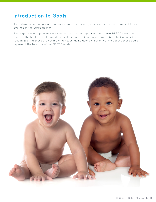## **Introduction to Goals**

The following section provides an overview of the priority issues within the four areas of focus outlined in the Strategic Plan.

These goals and objectives were selected as the best opportunities to use FIRST 5 resources to improve the health, development and well being of children age zero to five. The Commission recognizes that these are not the only issues facing young children, but we believe these goals represent the best use of the FIRST 5 funds.

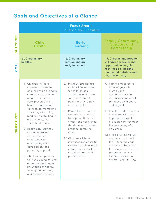## **Goals and Objectives at a Glance**

|                                            | <b>Focus Area 1</b><br><b>Children and Families</b>                                                                                                                                                                                                                                                                                                                                                                                                                                                                                                                                                                        |                                                                                                                                                                                                                                                                                                                                                                                                                                                                                         |                                                                                                                                                                                                                                                                                                                                                                                                                                                                                                               |
|--------------------------------------------|----------------------------------------------------------------------------------------------------------------------------------------------------------------------------------------------------------------------------------------------------------------------------------------------------------------------------------------------------------------------------------------------------------------------------------------------------------------------------------------------------------------------------------------------------------------------------------------------------------------------------|-----------------------------------------------------------------------------------------------------------------------------------------------------------------------------------------------------------------------------------------------------------------------------------------------------------------------------------------------------------------------------------------------------------------------------------------------------------------------------------------|---------------------------------------------------------------------------------------------------------------------------------------------------------------------------------------------------------------------------------------------------------------------------------------------------------------------------------------------------------------------------------------------------------------------------------------------------------------------------------------------------------------|
| <b>OUTCOMES</b>                            | <b>Child</b><br><b>Health</b>                                                                                                                                                                                                                                                                                                                                                                                                                                                                                                                                                                                              | <b>Early</b><br>Learning                                                                                                                                                                                                                                                                                                                                                                                                                                                                | <b>Family Community</b><br><b>Support and</b><br>Partnership                                                                                                                                                                                                                                                                                                                                                                                                                                                  |
| GOAL                                       | #1. Children are<br>healthy.                                                                                                                                                                                                                                                                                                                                                                                                                                                                                                                                                                                               | #2. Children are<br>learning and are<br>ready for school.                                                                                                                                                                                                                                                                                                                                                                                                                               | #3. Children and parents<br>will have access to, and<br>opportunities to gain<br>knowledge of healthy<br>food, good nutrition, and<br>physical activity.                                                                                                                                                                                                                                                                                                                                                      |
| S<br>ш<br><b>BJECTIV</b><br>$\overline{O}$ | 1.1 Children will have<br>improved access to,<br>and utilization of health<br>care services with an<br>emphasis on primary<br>care, preventative<br>health programs with<br>early assessments and<br>screenings, including<br>medical, mental health,<br>oral, hearing, and<br>vision health services.<br>1.2 Health care services,<br>including prenatal<br>services will be<br>integrated with<br>other young child<br>development and<br>parenting support.<br>1.3 Children and parents<br>will have access to, and<br>opportunities to gain<br>knowledge of healthy<br>food, good nutrition,<br>and physical activity. | 2.1 Introductory literacy<br>skills will be improved<br>for children and<br>families, and children<br>will have access to<br>books and word rich<br>environments.<br>2.2 Parent literacy will be<br>supported as critical<br>to helping utilize and<br>understand early child<br>development and best<br>practice parenting<br>skills.<br>2.3 Children will have<br>increased readiness to<br>succeed in school upon<br>entry to kindergarten,<br>including preschool<br>participation. | 3.1 Parent and caregiver<br>knowledge, skills,<br>literacy, and<br>confidence will be<br>increased in an effort<br>to reduce child abuse<br>and neglect.<br>3.2 Families and caregivers<br>of children will have<br>improved access to<br>available services upon<br>the welcoming of a<br>new child.<br>3.3 FIRST 5 Del Norte will<br>continue to support<br>the FRC so they can<br>continue to be a hub<br>for resources, referrals,<br>programs, and co-<br>located services for<br>children and families. |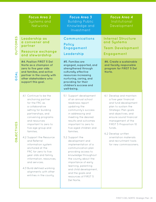|                                        | <b>Focus Area 2</b><br>Systems and<br>Networks                                                                                                                                                                                                                                                                                                                                                                                                                                                    | <b>Focus Area 3</b><br><b>Building Public</b><br>Knowledge and<br>Investment                                                                                                                                                                                                                                                                                                                                                                                                                                                              | <b>Focus Area 4</b><br>Institutional<br>Development                                                                                                                                                                                                                                                                                   |
|----------------------------------------|---------------------------------------------------------------------------------------------------------------------------------------------------------------------------------------------------------------------------------------------------------------------------------------------------------------------------------------------------------------------------------------------------------------------------------------------------------------------------------------------------|-------------------------------------------------------------------------------------------------------------------------------------------------------------------------------------------------------------------------------------------------------------------------------------------------------------------------------------------------------------------------------------------------------------------------------------------------------------------------------------------------------------------------------------------|---------------------------------------------------------------------------------------------------------------------------------------------------------------------------------------------------------------------------------------------------------------------------------------------------------------------------------------|
| <b>OUTCOMES</b>                        | Leadership as<br>a convener and<br>partner<br>Resource exchange<br>and stewardship                                                                                                                                                                                                                                                                                                                                                                                                                | Communications<br><b>Policy</b><br><b>Engagement</b><br>Leadership                                                                                                                                                                                                                                                                                                                                                                                                                                                                        | <b>Internal Structure</b><br>and Systems<br><b>Team Development</b><br>Engagement                                                                                                                                                                                                                                                     |
| <b>OAL</b><br>$\overline{O}$           | #4. Position FIRST 5 Del<br>Norte as a champion of<br>zero to five year olds<br>and families, and active<br>partner in the county with<br>other stakeholders who<br>support this goal.                                                                                                                                                                                                                                                                                                            | #5. Families are<br>engaged, supported, and<br>strengthened through<br>culturally effective<br>resources increasing<br>nurturing, caring, and<br>providing for their<br>children's success and<br>well-being.                                                                                                                                                                                                                                                                                                                             | #6. Create a sustainable<br>and fiscally responsible<br>program for FIRST 5 Del<br>Norte.                                                                                                                                                                                                                                             |
| ES<br>$\geq$<br>$\overline{C}$<br>OBJE | 4.1 Continue to be the<br>anchoring partner<br>for the FRC as<br>a collaborative<br>setting for building<br>partnerships, and<br>convening programs<br>and resources<br>important to zero to<br>five age group and<br>families.<br>4.2 Support the Resource<br>and Referral<br>information system<br>anchored at the<br>FRC for zero to five<br>year olds and family<br>information, resources,<br>and services.<br>4.3 Build defined working<br>alignments with other<br>entities in the county. | 5.1 Support development<br>of an annual school<br>readiness report<br>updating the<br>community's success<br>in addressing and<br>meeting the desired<br>results and outcomes<br>important to zero to<br>five aged children and<br>families.<br>5.2 Support the<br>development and<br>implementation of a<br>communication plan<br>providing access to<br>knowledge throughout<br>the county about the<br>importance of early<br>learning, parenting<br>and child development,<br>and the goals and<br>resources of FIRST 5<br>Del Norte. | 6.1 Develop and maintain<br>a five-year financial<br>and fund development<br>plan to sustain the<br>Strategic Plan goals<br>and objectives, and<br>ensure sound financial<br>management of the<br>FIRST 5 Proposition 10<br>funds.<br>6.2 Develop written<br>orientation materials<br>and recruitment tools<br>for new commissioners. |

**OBJECTIVES OBJECTIVES**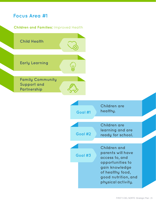

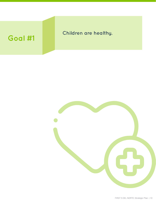

## **Children are healthy.**

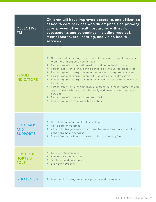| <b>OBJECTIVE</b><br>#1.1                            | Children will have improved access to, and utilization<br>of health care services with an emphasis on primary<br>care, preventative health programs with early<br>assessments and screenings, including medical,<br>mental health, oral, hearing, and vision health<br>services.                                                                                                                                                                                                                                                                                                                                                                                                                                                                                                            |
|-----------------------------------------------------|---------------------------------------------------------------------------------------------------------------------------------------------------------------------------------------------------------------------------------------------------------------------------------------------------------------------------------------------------------------------------------------------------------------------------------------------------------------------------------------------------------------------------------------------------------------------------------------------------------------------------------------------------------------------------------------------------------------------------------------------------------------------------------------------|
| <b>RESULT</b><br><b>INDICATORS</b>                  | Number and percentage of young children showing up at emergency<br>Þ<br>room for primary care health issue<br>Percentage of children with medical and dental health home<br>Þ.<br>Percentage of children reaching school age with untreated cavities<br>Þ.<br>Percentage of kindergarteners up to date on all required vaccines<br>Þ<br>Percentage of kindergarteners with required oral health exams<br>Þ<br>Percentage of kindergarteners not vaccinated due to Personal Belief<br>$\blacktriangleright$<br>Exemption<br>Percentage of children with mental or behavioral health issues or other<br>Þ<br>special needs who are identified early and have access to remedial<br>services<br>Percentage of babies who are breastfed<br>Þ.<br>Percentage of children reported as obese<br>Þ. |
| <b>PROGRAMS</b><br><b>AND</b><br><b>SUPPORTS</b>    | Have had an annual well child checkup<br>Up to date on vaccines<br>Þ.<br>All zero to five year olds have access to age appropriate mental and<br>behavioral health services<br>Breast feed at birth and provided nutritious healthy food<br>Þ.                                                                                                                                                                                                                                                                                                                                                                                                                                                                                                                                              |
| <b>FIRST 5 DEL</b><br><b>NORTE'S</b><br><b>ROLE</b> | Convene stakeholders<br>Educator/Communicator<br>Strategic funding support<br>▶<br><b>Evaluation support</b><br>Þ                                                                                                                                                                                                                                                                                                                                                                                                                                                                                                                                                                                                                                                                           |
| <b>STRATEGIES</b>                                   | Use the FRC to engage moms, parents, and caregivers<br>Þ.                                                                                                                                                                                                                                                                                                                                                                                                                                                                                                                                                                                                                                                                                                                                   |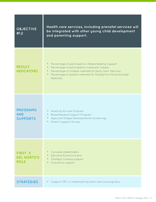| <b>OBJECTIVE</b><br>#1.2                            | Health care services, including prenatal services will<br>be integrated with other young child development<br>and parenting support.                                                                                                                                  |
|-----------------------------------------------------|-----------------------------------------------------------------------------------------------------------------------------------------------------------------------------------------------------------------------------------------------------------------------|
| <b>RESULT</b><br><b>INDICATORS</b>                  | Percentage of participants in Breastfeeding Support<br>Þ.<br>Percentage of participants in prenatal classes<br>Þ.<br>Percentage of children referred for Early Start Services<br>Þ.<br>Percentage of parents referred for Postpartum Mood Disorder<br>Þ.<br>Referrals |
| <b>PROGRAMS</b><br><b>AND</b><br><b>SUPPORTS</b>    | Awaiting Arrivals Program<br>Þ.<br><b>Breastfeeding Support Program</b><br>Þ.<br>Ages and Stages Developmental Screenings<br>Þ.<br>Parent Support Groups<br>▶                                                                                                         |
| <b>FIRST 5</b><br><b>DEL NORTE'S</b><br><b>ROLE</b> | Convene stakeholders<br>▶<br>Educator/Communicator<br>Þ.<br>Strategic funding support<br>Þ.<br><b>Evaluation support</b><br>Þ                                                                                                                                         |
| <b>STRATEGIES</b>                                   | Support FRC in implementing direct service programs.<br>Þ.                                                                                                                                                                                                            |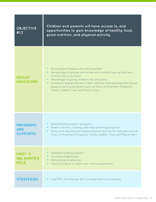| <b>OBJECTIVE</b><br>#1.3                            | Children and parents will have access to, and<br>opportunities to gain knowledge of healthy food,<br>good nutrition, and physical activity.                                                                                                                                                                                                                                                  |
|-----------------------------------------------------|----------------------------------------------------------------------------------------------------------------------------------------------------------------------------------------------------------------------------------------------------------------------------------------------------------------------------------------------------------------------------------------------|
| <b>RESULT</b><br><b>INDICATORS</b>                  | Percentage of babies who are breastfed<br>Þ.<br>Percentage of families and homes with children having food and<br>Þ.<br>nutrition security issues<br>Percentage of young children who are obese<br>Þ.<br>Utilization and enrollment in best practice child development based<br>Þ<br>physical activity programs such as Music & Movement Programs,<br>Totally Toddler Time, and Play & Learn |
| <b>PROGRAMS</b><br><b>AND</b><br><b>SUPPORTS</b>    | Breastfeeding support programs<br>Þ.<br>Parent nutrition, cooking, and meal planning programs<br>Early child development based physical activity, for example such as<br>Þ<br>Music & Movement Programs, Totally Toddler Time, and Play & Learn                                                                                                                                              |
| <b>FIRST 5</b><br><b>DEL NORTE'S</b><br><b>ROLE</b> | Strategic funding support<br>Convene stakeholders<br>Partnerships & alliances<br>Þ.<br>Communication to reach new moms and parents<br>▶                                                                                                                                                                                                                                                      |
| <b>STRATEGIES</b>                                   | Use FRCs and Wonder Bus to locate and host programs<br>Þ.                                                                                                                                                                                                                                                                                                                                    |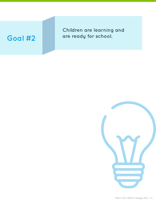

**Children are learning and Goal #2 are ready for school.**

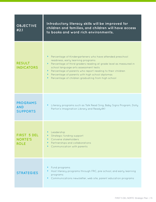| <b>OBJECTIVE</b><br>#2.1                            | Introductory literacy skills will be improved for<br>children and families, and children will have access<br>to books and word rich environments.                                                                                                                                                                                                                                                |
|-----------------------------------------------------|--------------------------------------------------------------------------------------------------------------------------------------------------------------------------------------------------------------------------------------------------------------------------------------------------------------------------------------------------------------------------------------------------|
| <b>RESULT</b><br><b>INDICATORS</b>                  | Percentage of Kindergarteners who have attended preschool<br>readiness, early learning programs<br>Percentage of third graders reading at grade level as measured in<br>Þ.<br>school language arts assessment tests<br>Percentage of parents who report reading to their children<br>Þ.<br>Percentage of parents with high school diplomas<br>Percentage of children graduating from high school |
| <b>PROGRAMS</b><br><b>AND</b><br><b>SUPPORTS</b>    | Literacy programs such as Talk Read Sing, Baby Signs Program, Dolly<br>Þ.<br>Parton's Imagination Library and Ready4K!                                                                                                                                                                                                                                                                           |
| <b>FIRST 5 DEL</b><br><b>NORTE'S</b><br><b>ROLE</b> | Leadership<br>Þ<br>Strategic funding support<br>Þ.<br>Convene stakeholders<br>Partnerships and collaborations<br>Þ.<br>Communication with parents<br>Þ.                                                                                                                                                                                                                                          |
| <b>STRATEGIES</b>                                   | Fund programs<br>Þ.<br>Host literacy programs through FRC, pre-school, and early learning<br>Þ.<br>programs<br>Communications newsletter, web site, parent education programs                                                                                                                                                                                                                    |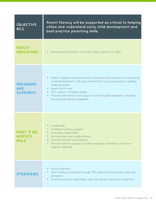| <b>OBJECTIVE</b><br>#2.2                            | Parent literacy will be supported as critical to helping<br>utilize and understand early child development and<br>best practice parenting skills.                                                                                                                                                                                          |  |
|-----------------------------------------------------|--------------------------------------------------------------------------------------------------------------------------------------------------------------------------------------------------------------------------------------------------------------------------------------------------------------------------------------------|--|
| <b>RESULT</b><br><b>INDICATORS</b>                  | Percentage of parents with high school diploma or GED                                                                                                                                                                                                                                                                                      |  |
| <b>PROGRAMS</b><br><b>AND</b><br><b>SUPPORTS</b>    | Parent support and educational workshops and outreach around early<br>Þ.<br>child development, with special attention to young parents via Baby<br>Steps program<br>Awaiting Arrivals<br>Þ.<br>FRC support of Parent Cafes<br>Þ.<br>Provide information and support to non-English speakers, including<br>Þ.<br>Hmong and Spanish speakers |  |
| <b>FIRST 5 DEL</b><br><b>NORTE'S</b><br><b>ROLE</b> | Leadership<br>Strategic funding support<br>Convene stakeholders<br>Partnerships and collaborations<br>Communication with parents<br>Þ.<br>Provide funding support to offer programs, translation, and non-<br>Þ.<br>English materials                                                                                                      |  |
| <b>STRATEGIES</b>                                   | Fund programs<br>Host literacy programs through FRC, pre-school and early learning<br>programs<br>Communications newsletter, web site, parent education programs<br>Þ.                                                                                                                                                                     |  |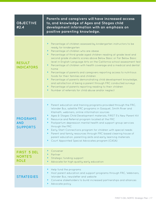| <b>OBJECTIVE</b><br>#2.4                            | Parents and caregivers will have increased access<br>to, and knowledge of Ages and Stages child<br>development information with an emphasis on<br>positive parenting knowledge.                                                                                                                                                                                                                                                                                                                                                                                                                                                                                                                                                                                                                                                                                                         |
|-----------------------------------------------------|-----------------------------------------------------------------------------------------------------------------------------------------------------------------------------------------------------------------------------------------------------------------------------------------------------------------------------------------------------------------------------------------------------------------------------------------------------------------------------------------------------------------------------------------------------------------------------------------------------------------------------------------------------------------------------------------------------------------------------------------------------------------------------------------------------------------------------------------------------------------------------------------|
| <b>RESULT</b><br><b>INDICATORS</b>                  | $\blacktriangleright$<br>Percentage of children assessed by kindergarten instructors to be<br>ready for kindergarten<br>Percentage of children who are obese<br>Þ.<br>Percentage of third grade aged children reading at grade level and<br>Þ.<br>second grade students scores above Below Basic or Far Below Basic<br>level in English-Language Arts on the California school assessment test<br>Percentage of children with health coverage and a medical and dental<br>Þ.<br>home<br>Percentage of parents and caregivers reporting access to nutritious<br>Þ.<br>foods for their families and children<br>Percentage of parents demonstrating child development knowledge,<br>Þ.<br>and satisfaction of being a parent through FRC conducted surveys<br>Percentage of parents reporting reading to their children<br>Þ.<br>Number of referrals for child abuse and/or neglect<br>Þ. |
| <b>PROGRAMS</b><br><b>AND</b><br><b>SUPPORTS</b>    | Parent education and training programs provided through the FRC,<br>Þ.<br>Wonder Bus, satellite FRC programs in Gasquet, Smith River and<br>Klamath, webinars, online information sources<br>Ages & Stages Child Development materials, FIRST 5's New Parent Kit<br>Þ.<br>Resource and Referral program located at the FRC<br>Þ.<br>Postpartum depression mental health and support group services<br>Þ<br>through the FRC<br>Early Start Connections program for children with special needs<br>Parent and family resources through FRC based clearing house of<br>Þ.<br>parent education, parenting skills and early learning materials<br>Court Appointed Special Advocates program (CASA)<br>Þ.                                                                                                                                                                                     |
| <b>FIRST 5 DEL</b><br><b>NORTE'S</b><br><b>ROLE</b> | Convener<br>Þ.<br>Partner<br>Strategic funding support<br>Þ.<br>Advocate for high quality early education<br>Þ.                                                                                                                                                                                                                                                                                                                                                                                                                                                                                                                                                                                                                                                                                                                                                                         |
| <b>STRATEGIES</b>                                   | Help fund the programs<br>Þ.<br>Host parent education and support programs through FRC, Webinars,<br>Þ.<br>Wonder Bus, newsletter and website<br>Convene stakeholders to build increased partnerships and alliances<br>Þ.<br>Advocate policy<br>Þ.                                                                                                                                                                                                                                                                                                                                                                                                                                                                                                                                                                                                                                      |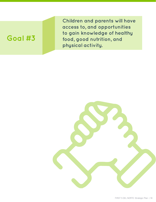# **Goal #3**

**Children and parents will have access to, and opportunities to gain knowledge of healthy food, good nutrition, and physical activity.**

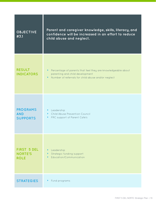| <b>OBJECTIVE</b><br>#3.1                            | Parent and caregiver knowledge, skills, literacy, and<br>confidence will be increased in an effort to reduce<br>child abuse and neglect.              |
|-----------------------------------------------------|-------------------------------------------------------------------------------------------------------------------------------------------------------|
| <b>RESULT</b><br><b>INDICATORS</b>                  | Percentage of parents that feel they are knowledgeable about<br>parenting and child development<br>Number of referrals for child abuse and/or neglect |
| <b>PROGRAMS</b><br><b>AND</b><br><b>SUPPORTS</b>    | • Leadership<br>Child Abuse Prevention Council<br>FRC support of Parent Cafe's                                                                        |
| <b>FIRST 5 DEL</b><br><b>NORTE'S</b><br><b>ROLE</b> | Leadership<br>Þ<br>Strategic funding support<br>Þ<br>Education/Communication<br>Þ                                                                     |
| <b>STRATEGIES</b>                                   | Fund programs<br>Þ.                                                                                                                                   |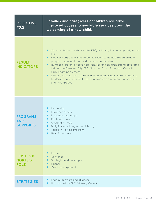| <b>OBJECTIVE</b><br>#3.2                            | Families and caregivers of children will have<br>improved access to available services upon the<br>welcoming of a new child.                                                                                                                                                                                                                                                                                                                                                                                                                                                |
|-----------------------------------------------------|-----------------------------------------------------------------------------------------------------------------------------------------------------------------------------------------------------------------------------------------------------------------------------------------------------------------------------------------------------------------------------------------------------------------------------------------------------------------------------------------------------------------------------------------------------------------------------|
| <b>RESULT</b><br><b>INDICATORS</b>                  | Community partnerships in the FRC, including funding support, in the<br>Þ.<br><b>FRC</b><br>FRC Advisory Council membership roster contains a broad array of<br>Þ.<br>program representation and community members<br>Number of parents, caregivers, families and children attend programs<br>Þ,<br>held at the Crescent City FRC, Gasquet, Smith River, and Klamath<br><b>Early Learning Centers</b><br>Literacy rates for both parents and children using children entry into<br>Þ.<br>Kindergarten assessment and language arts assessment at second<br>and third grades |
| <b>PROGRAMS</b><br><b>AND</b><br><b>SUPPORTS</b>    | Leadership<br>Þ.<br><b>Books for Babies</b><br>Þ.<br><b>Breastfeeding Support</b><br>Þ<br>Circle of Moms<br>Awaiting Arrivals<br>Þ.<br>Dolly Parton's Imagination Library<br>Þ.<br>Ready4K Texting Program<br>Þ<br>New Parent Kits<br>Þ.                                                                                                                                                                                                                                                                                                                                    |
| <b>FIRST 5 DEL</b><br><b>NORTE'S</b><br><b>ROLE</b> | Leader<br>Þ.<br>Convener<br>Strategic funding support<br>Partner<br>Þ.<br>Grant management<br>Þ.                                                                                                                                                                                                                                                                                                                                                                                                                                                                            |
| <b>STRATEGIES</b>                                   | Engage partners and alliances<br>Þ,<br>Host and sit on FRC Advisory Council<br>Þ.                                                                                                                                                                                                                                                                                                                                                                                                                                                                                           |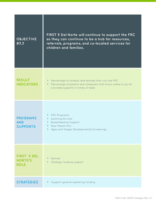| <b>OBJECTIVE</b><br>#3.3                            | FIRST 5 Del Norte will continue to support the FRC<br>so they can continue to be a hub for resources,<br>referrals, programs, and co-located services for<br>children and families. |
|-----------------------------------------------------|-------------------------------------------------------------------------------------------------------------------------------------------------------------------------------------|
| <b>RESULT</b><br><b>INDICATORS</b>                  | Percentage of children and families that visit the FRC<br>Þ.<br>Percentage of parents and caregivers that know where to go for<br>Þ.<br>concrete supports in times of need          |
| <b>PROGRAMS</b><br><b>AND</b><br><b>SUPPORTS</b>    | <b>FRC Programs</b><br>Awaiting Arrivals<br><b>Breastfeeding Support</b><br>New Parent Kits<br>Ages and Stages Developmental Screenings                                             |
| <b>FIRST 5 DEL</b><br><b>NORTE'S</b><br><b>ROLE</b> | Partner<br>Strategic funding support                                                                                                                                                |
| <b>STRATEGIES</b>                                   | Support general operating funding                                                                                                                                                   |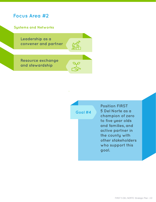**Systems and Networks**

**Leadership as a convener and partner**

**Resource exchange and stewardship**

**Goal #4**

**Position FIRST 5 Del Norte as a champion of zero to five year olds and families, and active partner in the county with other stakeholders who support this goal.**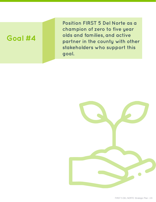# **Goal #4**

**Position FIRST 5 Del Norte as a champion of zero to five year olds and families, and active partner in the county with other stakeholders who support this goal.**

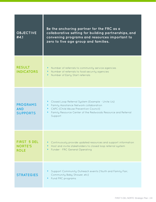| <b>OBJECTIVE</b><br>#4.1                            | Be the anchoring partner for the FRC as a<br>collaborative setting for building partnerships, and<br>convening programs and resources important to<br>zero to five age group and families.                                                     |
|-----------------------------------------------------|------------------------------------------------------------------------------------------------------------------------------------------------------------------------------------------------------------------------------------------------|
| <b>RESULT</b><br><b>INDICATORS</b>                  | Number of referrals to community service agencies<br>Þ.<br>Number of referrals to food security agencies<br>Number of Early Start referrals                                                                                                    |
| <b>PROGRAMS</b><br><b>AND</b><br><b>SUPPORTS</b>    | Closed Loop Referral System (Example - Unite Us)<br>Þ.<br>Family Assistance Network collaboration<br>Þ.<br><b>CAPC (Child Abuse Prevention Council)</b><br>Þ.<br>Family Resource Center of the Redwoods Resource and Referral<br>Þ.<br>Support |
| <b>FIRST 5 DEL</b><br><b>NORTE'S</b><br><b>ROLE</b> | Continuously provide updated resources and support information<br>Host and invite stakeholders to closed loop referral system<br>Þ.<br><b>Funder - FRC General Operating</b><br>Þ.                                                             |
| <b>STRATEGIES</b>                                   | Support Community Outreach events (Youth and Family Fair,<br>Þ.<br>Community Baby Shower, etc)<br>Fund FRC programs<br>Þ.                                                                                                                      |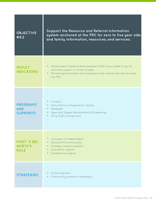| <b>OBJECTIVE</b><br>#4.2                            | Support the Resource and Referral information<br>system anchored at the FRC for zero to five year olds<br>and family information, resources, and services.                                 |
|-----------------------------------------------------|--------------------------------------------------------------------------------------------------------------------------------------------------------------------------------------------|
| <b>RESULT</b><br><b>INDICATORS</b>                  | Percentage of parents and caregivers that know where to go for<br>Þ.<br>concrete support in times of need<br>Percentage of parents and caregivers that receive services through<br>the FRC |
| <b>PROGRAMS</b><br><b>AND</b><br><b>SUPPORTS</b>    | UniteUs<br>Þ.<br>Dolly Parton's Imagination Library<br>Þ.<br>Ready4K!<br>Ages and Stages Developmental Screenings<br>Þ.<br><b>Early Start Connections</b><br>Þ                             |
| <b>FIRST 5 DEL</b><br><b>NORTE'S</b><br><b>ROLE</b> | Convener of stakeholders<br>Þ<br>Educator/Communicator<br>Þ<br>Strategic funding support<br>Þ.<br><b>Evaluation support</b><br>Þ<br>Fundraising support<br>Þ.                              |
| <b>STRATEGIES</b>                                   | Fund programs<br>Community outreach campaigns<br>▶                                                                                                                                         |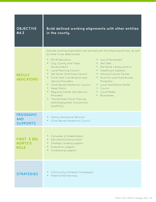| <b>OBJECTIVE</b><br>#4.3                            | Build defined working alignments with other entities<br>in the county.                                                                                                                                                                                                                                                                                                                                                                                                                                                                                                                                                                                                                                                                                                                                                             |
|-----------------------------------------------------|------------------------------------------------------------------------------------------------------------------------------------------------------------------------------------------------------------------------------------------------------------------------------------------------------------------------------------------------------------------------------------------------------------------------------------------------------------------------------------------------------------------------------------------------------------------------------------------------------------------------------------------------------------------------------------------------------------------------------------------------------------------------------------------------------------------------------------|
| <b>RESULT</b><br><b>INDICATORS</b>                  | Defined working alignments are formed with the following entities, as well<br>as other to be determined:<br>PK-16 Education<br>Law Enforcement<br>▶<br>41st DAA<br>City, County and Tribal<br>$\blacktriangleright$<br>Governments<br>Del Norte Library District<br>Local Planning Council<br><b>Healthcare Systems</b><br>k.<br>Del Norte Child Care Council<br><b>Hmong Cultural Center</b><br>$\blacktriangleright$<br>Þ.<br>Child Care Coordination and<br><b>Nutrition and Food Access</b><br><b>Service Providers</b><br>Programs<br>Child Abuse Prevention Council<br>Local Workforce Center<br><b>Head Starts</b><br>Courts<br>Þ.<br>• Local Media<br>Regional Center and Service<br>Providers<br><b>Businesses</b><br>$\blacktriangleright$<br>The Northern Rural Training<br>Þ.<br>and Employment Consortium<br>(NoRTEC) |
| <b>PROGRAMS</b><br><b>AND</b><br><b>SUPPORTS</b>    | <b>Family Assistance Network</b><br>Þ,<br>Child Abuse Prevention Council                                                                                                                                                                                                                                                                                                                                                                                                                                                                                                                                                                                                                                                                                                                                                           |
| <b>FIRST 5 DEL</b><br><b>NORTE'S</b><br><b>ROLE</b> | Convener of stakeholders<br>Educator/Communicator<br>▶<br>Strategic funding support<br>Þ<br>Evaluation support<br>Þ,<br>Fundraising support<br>▶                                                                                                                                                                                                                                                                                                                                                                                                                                                                                                                                                                                                                                                                                   |
| <b>STRATEGIES</b>                                   | Community Outreach Campaigns<br>Þ,<br><b>Referral Partnerships</b>                                                                                                                                                                                                                                                                                                                                                                                                                                                                                                                                                                                                                                                                                                                                                                 |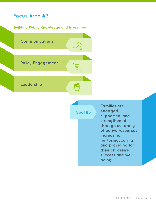#### **Building Public Knowledge and Investment**



**Goal #5**

**Families are engaged, supported, and strengthened through culturally effective resources increasing nurturing, caring, and providing for their children's success and wellbeing.**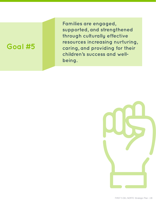# **Goal #5**

**Families are engaged, supported, and strengthened through culturally effective resources increasing nurturing, caring, and providing for their children's success and wellbeing.**

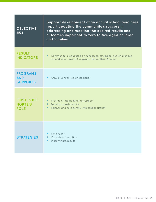| <b>OBJECTIVE</b><br>#5.1                            | Support development of an annual school readiness<br>report updating the community's success in<br>addressing and meeting the desired results and<br>outcomes important to zero to five aged children<br>and families. |  |  |  |  |
|-----------------------------------------------------|------------------------------------------------------------------------------------------------------------------------------------------------------------------------------------------------------------------------|--|--|--|--|
| <b>RESULT</b><br><b>INDICATORS</b>                  | Community is educated on successes, struggles, and challenges<br>around local zero to five year olds and their families.                                                                                               |  |  |  |  |
| <b>PROGRAMS</b><br><b>AND</b><br><b>SUPPORTS</b>    | <b>Annual School Readiness Report</b><br>Þ.                                                                                                                                                                            |  |  |  |  |
| <b>FIRST 5 DEL</b><br><b>NORTE'S</b><br><b>ROLE</b> | Provide strategic funding support<br>Þ.<br>Develop questionnaire<br>Partner and collaborate with school district                                                                                                       |  |  |  |  |
| <b>STRATEGIES</b>                                   | Fund report<br>Compile information<br>Disseminate results                                                                                                                                                              |  |  |  |  |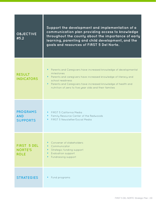| <b>OBJECTIVE</b><br>#5.2                            | Support the development and implementation of a<br>communication plan providing access to knowledge<br>throughout the county about the importance of early<br>learning, parenting and child development, and the<br>goals and resources of FIRST 5 Del Norte.                                            |
|-----------------------------------------------------|----------------------------------------------------------------------------------------------------------------------------------------------------------------------------------------------------------------------------------------------------------------------------------------------------------|
| <b>RESULT</b><br><b>INDICATORS</b>                  | ▶ Parents and Caregivers have increased knowledge of developmental<br>milestones<br>Parents and caregivers have increased knowledge of literacy and<br>school readiness<br>Parents and Caregivers have increased knowledge of health and<br>Þ.<br>nutrition of zero to five year olds and their families |
| <b>PROGRAMS</b><br><b>AND</b><br><b>SUPPORTS</b>    | FIRST 5 California Media<br>Family Resource Center of the Redwoods<br>Þ.<br>FIRST 5 Newsletter/Social Media                                                                                                                                                                                              |
| <b>FIRST 5 DEL</b><br><b>NORTE'S</b><br><b>ROLE</b> | Convener of stakeholders<br>Communicator<br>Strategic funding support<br><b>Evaluation support</b><br>Fundraising support<br>▶                                                                                                                                                                           |
| <b>STRATEGIES</b>                                   | Fund programs                                                                                                                                                                                                                                                                                            |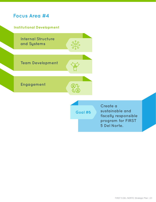

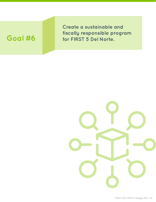**Create a sustainable and fiscally responsible program Goal #6 for FIRST 5 Del Norte.**

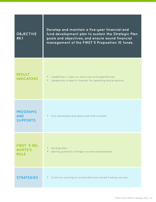| <b>OBJECTIVE</b><br>#6.1                            | Develop and maintain a five-year financial and<br>fund development plan to sustain the Strategic Plan<br>goals and objectives, and ensure sound financial<br>management of the FIRST 5 Proposition 10 funds. |  |  |  |  |  |
|-----------------------------------------------------|--------------------------------------------------------------------------------------------------------------------------------------------------------------------------------------------------------------|--|--|--|--|--|
| <b>RESULT</b><br><b>INDICATORS</b>                  | Leadership is clear on resources and expenditures<br>Þ.<br>Leadership is able to forecast for spending and programs<br>Þ.                                                                                    |  |  |  |  |  |
| <b>PROGRAMS</b><br><b>AND</b><br><b>SUPPORTS</b>    | Fully developed and approved financial plan<br>Þ.                                                                                                                                                            |  |  |  |  |  |
| <b>FIRST 5 DEL</b><br><b>NORTE'S</b><br><b>ROLE</b> | Develop plan<br>Identify potential changes income and expenses                                                                                                                                               |  |  |  |  |  |
| <b>STRATEGIES</b>                                   | Continue working on sustainable and varied funding sources<br>Þ.                                                                                                                                             |  |  |  |  |  |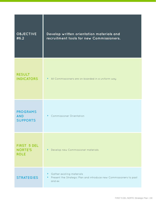| <b>OBJECTIVE</b><br>#6.2                            | Develop written orientation materials and<br>recruitment tools for new Commissioners.                     |
|-----------------------------------------------------|-----------------------------------------------------------------------------------------------------------|
| <b>RESULT</b><br><b>INDICATORS</b>                  | All Commissioners are on boarded in a uniform way                                                         |
| <b>PROGRAMS</b><br><b>AND</b><br><b>SUPPORTS</b>    | Commissioner Orientation                                                                                  |
| <b>FIRST 5 DEL</b><br><b>NORTE'S</b><br><b>ROLE</b> | Develop new Commissioner materials<br>Þ.                                                                  |
| <b>STRATEGIES</b>                                   | Gather existing materials<br>Present the Strategic Plan and introduce new Commissioners to past<br>and ex |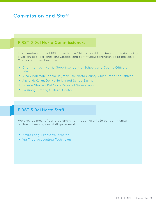## **Commission and Staff**

### **FIRST 5 Del Norte Commissioners**

The members of the FIRST 5 Del Norte Children and Families Commission bring a variety of experience, knowledge, and community partnerships to the table. Our current members are:

- E Chairman Jeff Harris, Superintendent of Schools and County Office of **Education**
- E Vice Chairman Lonnie Reyman, Del Norte County Chief Probation Officer
- E Alicia McKellar, Del Norte Unified School District
- E Valerie Starkey, Del Norte Board of Supervisors
- ▶ Pa Xiong, Hmong Cultural Center

### **FIRST 5 Del Norte Staff**

We provide most of our programming through grants to our community partners, keeping our staff quite small:

- **Amira Long, Executive Director**
- **F** Yia Thao, Accounting Technician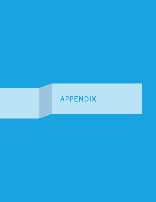# **APPENDIX**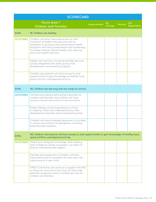|                 | <b>SCORECARD</b>                                                                                                                                                                                                                                                                 |             |              |                |                          |  |
|-----------------|----------------------------------------------------------------------------------------------------------------------------------------------------------------------------------------------------------------------------------------------------------------------------------|-------------|--------------|----------------|--------------------------|--|
|                 | <b>Focus Area 1</b><br><b>Children and Families</b>                                                                                                                                                                                                                              | Improvement | No<br>Change | <b>Decline</b> | <b>Not</b><br>Reportable |  |
| <b>GOAL</b>     | #1. Children are healthy.                                                                                                                                                                                                                                                        |             |              |                |                          |  |
| <b>OUTCOMES</b> | Children will have improved access to, and<br>utilization of health care services with an<br>emphasis on primary care, preventative health<br>programs with early assessments and screenings,<br>including medical, mental health, oral, hearing,<br>and vision health services. |             |              |                |                          |  |
|                 | Health care services, including prenatal services<br>will be integrated with other young child<br>development and parenting support.                                                                                                                                             |             |              |                |                          |  |
|                 | Children and parents will have access to, and<br>opportunities to gain knowledge of healthy food,<br>good nutrition, and physical activity.                                                                                                                                      |             |              |                |                          |  |
| <b>GOAL</b>     | #2. Children are learning and are ready for school.                                                                                                                                                                                                                              |             |              |                |                          |  |
| <b>OUTCOMES</b> | Introductory literacy skills will be improved for<br>children and families, and children will have<br>access to books and word rich environments.                                                                                                                                |             |              |                |                          |  |
|                 | Parent literacy will be supported as critical<br>to helping utilize and understand early child<br>development and best practice parenting skills.                                                                                                                                |             |              |                |                          |  |
|                 | Children will have increased readiness to succeed<br>in school upon entry to kindergarten, including<br>preschool participation.                                                                                                                                                 |             |              |                |                          |  |
| <b>GOAL</b>     | #3. Children and parents will have access to, and opportunities to gain knowledge of healthy food,<br>good nutrition, and physical activity.                                                                                                                                     |             |              |                |                          |  |
| <b>OUTCOMES</b> | Parent and caregiver knowledge, skills, literacy,<br>and confidence will be increased in an effort to<br>reduce child abuse and neglect.                                                                                                                                         |             |              |                |                          |  |
|                 | Families and caregivers of children will have<br>improved access to available services upon the<br>welcoming of a new child.                                                                                                                                                     |             |              |                |                          |  |
|                 | FIRST 5 Del Norte will continue to support the FRC<br>so they can continue to be a hub for resources,<br>referrals, programs, and co-located services for<br>children and families.                                                                                              |             |              |                |                          |  |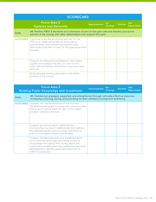| <b>SCORECARD</b>                                                                                                                      |                                                                                                                                                                                                           |             |              |                |                          |  |
|---------------------------------------------------------------------------------------------------------------------------------------|-----------------------------------------------------------------------------------------------------------------------------------------------------------------------------------------------------------|-------------|--------------|----------------|--------------------------|--|
|                                                                                                                                       | <b>Focus Area 2</b><br><b>Systems and Networks</b>                                                                                                                                                        | Improvement | No<br>Change | <b>Decline</b> | <b>Not</b><br>Reportable |  |
| <b>GOAL</b>                                                                                                                           | #4. Position FIRST 5 Del Norte as a champion of zero to five year olds and families, and active<br>partner in the county with other stakeholders who support this goal.                                   |             |              |                |                          |  |
| <b>OUTCOMES</b>                                                                                                                       | Continue to be the anchoring partner for the<br>FRC as a collaborative setting for building<br>partnerships, and convening programs and<br>resources important to zero to five age group and<br>families. |             |              |                |                          |  |
|                                                                                                                                       | Support the Resource and Referral information<br>system anchored at the FRC for zero to five<br>year olds and family information, resources, and<br>services                                              |             |              |                |                          |  |
|                                                                                                                                       | Build defined working alignments with other<br>entities in the county.                                                                                                                                    |             |              |                |                          |  |
| <b>Focus Area 3</b><br><b>No</b><br><b>Decline</b><br>Improvement<br><b>Change</b><br><b>Building Public Knowledge and Investment</b> |                                                                                                                                                                                                           |             |              |                |                          |  |
|                                                                                                                                       |                                                                                                                                                                                                           |             |              |                | <b>Not</b><br>Reportable |  |
| <b>GOAL</b>                                                                                                                           | #5. Families are engaged, supported, and strengthened through culturally effective resources<br>increasing nurturing, caring, and providing for their children's success and well-being.                  |             |              |                |                          |  |
| <b>OUTCOMES</b>                                                                                                                       | Support the implementation of the Promise<br>Neighborhoods grant in a way that communicates<br>the level of commitment for zero to five aged<br>children and their families.                              |             |              |                |                          |  |
|                                                                                                                                       | Support an annual report updating the<br>community's success in addressing and meeting<br>the desired results and outcomes important to<br>zero to five aged children and families.                       |             |              |                |                          |  |